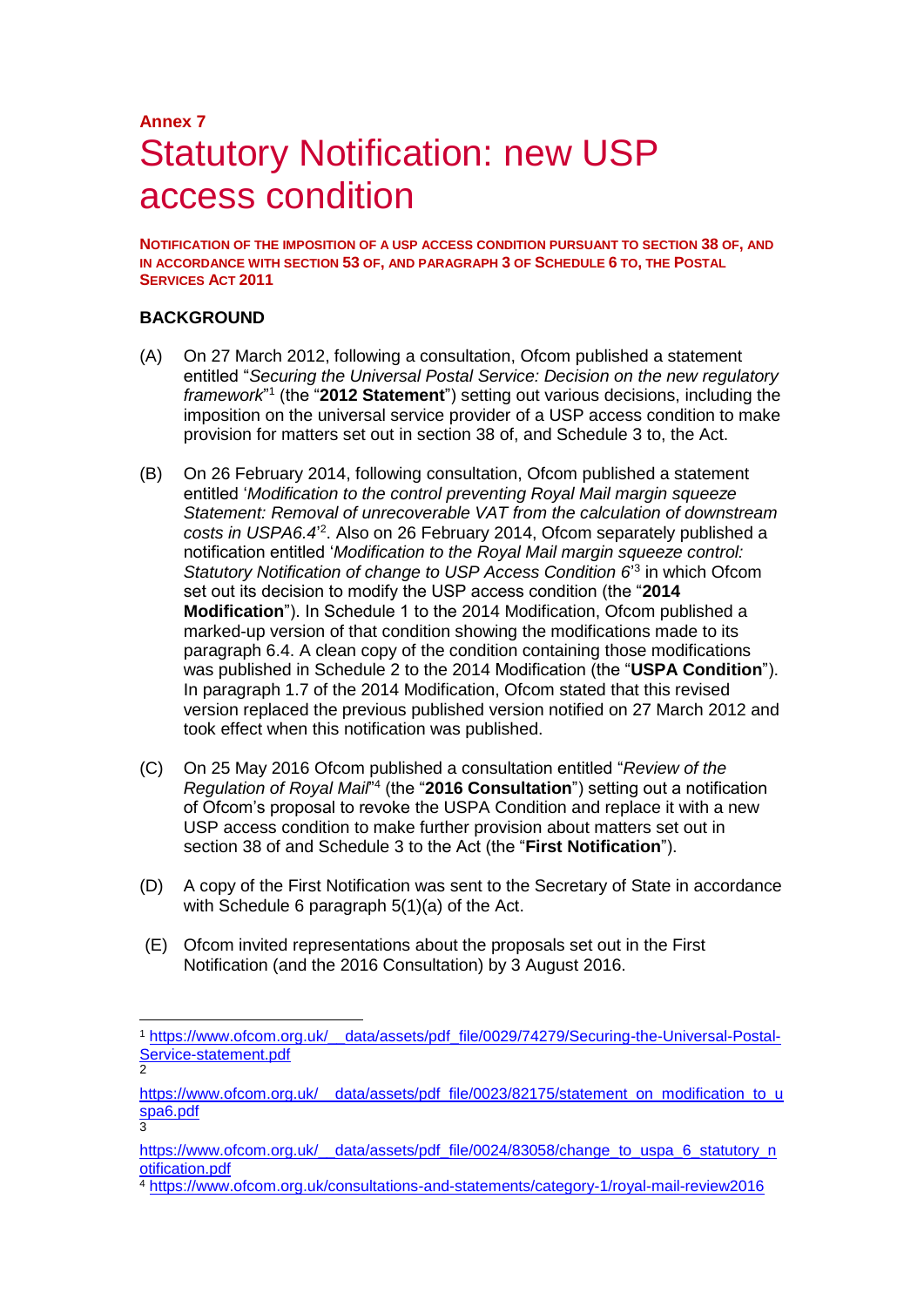## **Annex 7** Statutory Notification: new USP access condition

**NOTIFICATION OF THE IMPOSITION OF A USP ACCESS CONDITION PURSUANT TO SECTION 38 OF, AND IN ACCORDANCE WITH SECTION 53 OF, AND PARAGRAPH 3 OF SCHEDULE 6 TO, THE POSTAL SERVICES ACT 2011**

#### **BACKGROUND**

-

- (A) On 27 March 2012, following a consultation, Ofcom published a statement entitled "*Securing the Universal Postal Service: Decision on the new regulatory*  framework<sup>"1</sup> (the "2012 Statement") setting out various decisions, including the imposition on the universal service provider of a USP access condition to make provision for matters set out in section 38 of, and Schedule 3 to, the Act.
- (B) On 26 February 2014, following consultation, Ofcom published a statement entitled '*Modification to the control preventing Royal Mail margin squeeze Statement: Removal of unrecoverable VAT from the calculation of downstream*  costs in USPA6.4<sup>2</sup>. Also on 26 February 2014, Ofcom separately published a notification entitled '*Modification to the Royal Mail margin squeeze control:*  Statutory Notification of change to USP Access Condition 6<sup>'3</sup> in which Ofcom set out its decision to modify the USP access condition (the "**2014 Modification**"). In Schedule 1 to the 2014 Modification, Ofcom published a marked-up version of that condition showing the modifications made to its paragraph 6.4. A clean copy of the condition containing those modifications was published in Schedule 2 to the 2014 Modification (the "**USPA Condition**"). In paragraph 1.7 of the 2014 Modification, Ofcom stated that this revised version replaced the previous published version notified on 27 March 2012 and took effect when this notification was published.
- (C) On 25 May 2016 Ofcom published a consultation entitled "*Review of the*  Regulation of Royal Mail<sup>"4</sup> (the "2016 Consultation") setting out a notification of Ofcom's proposal to revoke the USPA Condition and replace it with a new USP access condition to make further provision about matters set out in section 38 of and Schedule 3 to the Act (the "**First Notification**").
- (D) A copy of the First Notification was sent to the Secretary of State in accordance with Schedule 6 paragraph 5(1)(a) of the Act.
- (E) Ofcom invited representations about the proposals set out in the First Notification (and the 2016 Consultation) by 3 August 2016.

<sup>1</sup> [https://www.ofcom.org.uk/\\_\\_data/assets/pdf\\_file/0029/74279/Securing-the-Universal-Postal-](https://www.ofcom.org.uk/__data/assets/pdf_file/0029/74279/Securing-the-Universal-Postal-Service-statement.pdf)[Service-statement.pdf](https://www.ofcom.org.uk/__data/assets/pdf_file/0029/74279/Securing-the-Universal-Postal-Service-statement.pdf) 2

[https://www.ofcom.org.uk/\\_\\_data/assets/pdf\\_file/0023/82175/statement\\_on\\_modification\\_to\\_u](https://www.ofcom.org.uk/__data/assets/pdf_file/0023/82175/statement_on_modification_to_uspa6.pdf) [spa6.pdf](https://www.ofcom.org.uk/__data/assets/pdf_file/0023/82175/statement_on_modification_to_uspa6.pdf)

<sup>3</sup> [https://www.ofcom.org.uk/\\_\\_data/assets/pdf\\_file/0024/83058/change\\_to\\_uspa\\_6\\_statutory\\_n](https://www.ofcom.org.uk/__data/assets/pdf_file/0024/83058/change_to_uspa_6_statutory_notification.pdf) [otification.pdf](https://www.ofcom.org.uk/__data/assets/pdf_file/0024/83058/change_to_uspa_6_statutory_notification.pdf)

<sup>4</sup> <https://www.ofcom.org.uk/consultations-and-statements/category-1/royal-mail-review2016>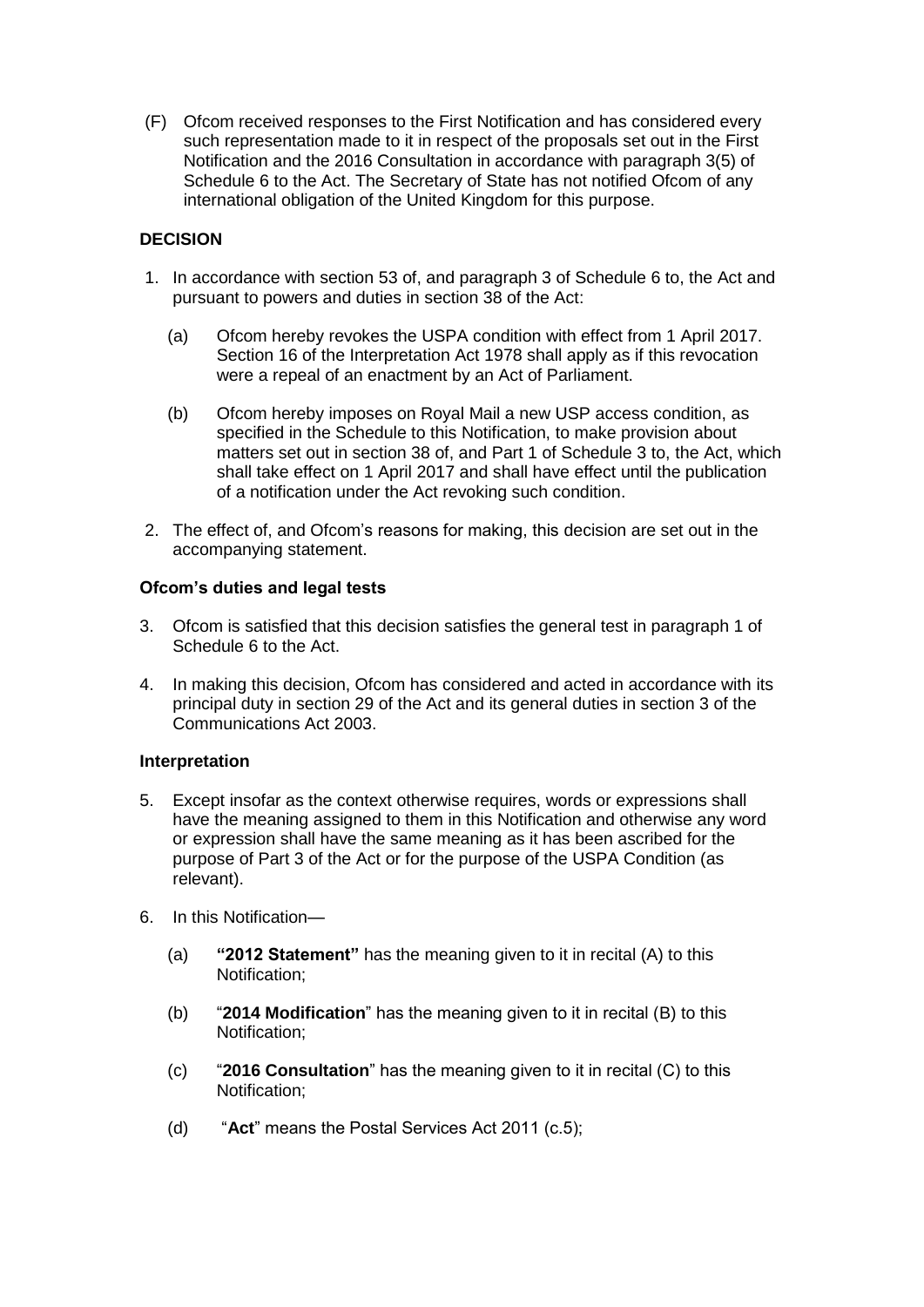(F) Ofcom received responses to the First Notification and has considered every such representation made to it in respect of the proposals set out in the First Notification and the 2016 Consultation in accordance with paragraph 3(5) of Schedule 6 to the Act. The Secretary of State has not notified Ofcom of any international obligation of the United Kingdom for this purpose.

#### **DECISION**

- 1. In accordance with section 53 of, and paragraph 3 of Schedule 6 to, the Act and pursuant to powers and duties in section 38 of the Act:
	- (a) Ofcom hereby revokes the USPA condition with effect from 1 April 2017. Section 16 of the Interpretation Act 1978 shall apply as if this revocation were a repeal of an enactment by an Act of Parliament.
	- (b) Ofcom hereby imposes on Royal Mail a new USP access condition, as specified in the Schedule to this Notification, to make provision about matters set out in section 38 of, and Part 1 of Schedule 3 to, the Act, which shall take effect on 1 April 2017 and shall have effect until the publication of a notification under the Act revoking such condition.
- 2. The effect of, and Ofcom's reasons for making, this decision are set out in the accompanying statement.

#### **Ofcom's duties and legal tests**

- 3. Ofcom is satisfied that this decision satisfies the general test in paragraph 1 of Schedule 6 to the Act.
- 4. In making this decision, Ofcom has considered and acted in accordance with its principal duty in section 29 of the Act and its general duties in section 3 of the Communications Act 2003.

#### **Interpretation**

- 5. Except insofar as the context otherwise requires, words or expressions shall have the meaning assigned to them in this Notification and otherwise any word or expression shall have the same meaning as it has been ascribed for the purpose of Part 3 of the Act or for the purpose of the USPA Condition (as relevant).
- 6. In this Notification—
	- (a) **"2012 Statement"** has the meaning given to it in recital (A) to this Notification;
	- (b) "**2014 Modification**" has the meaning given to it in recital (B) to this Notification;
	- (c) "**2016 Consultation**" has the meaning given to it in recital (C) to this Notification;
	- (d) "**Act**" means the Postal Services Act 2011 (c.5);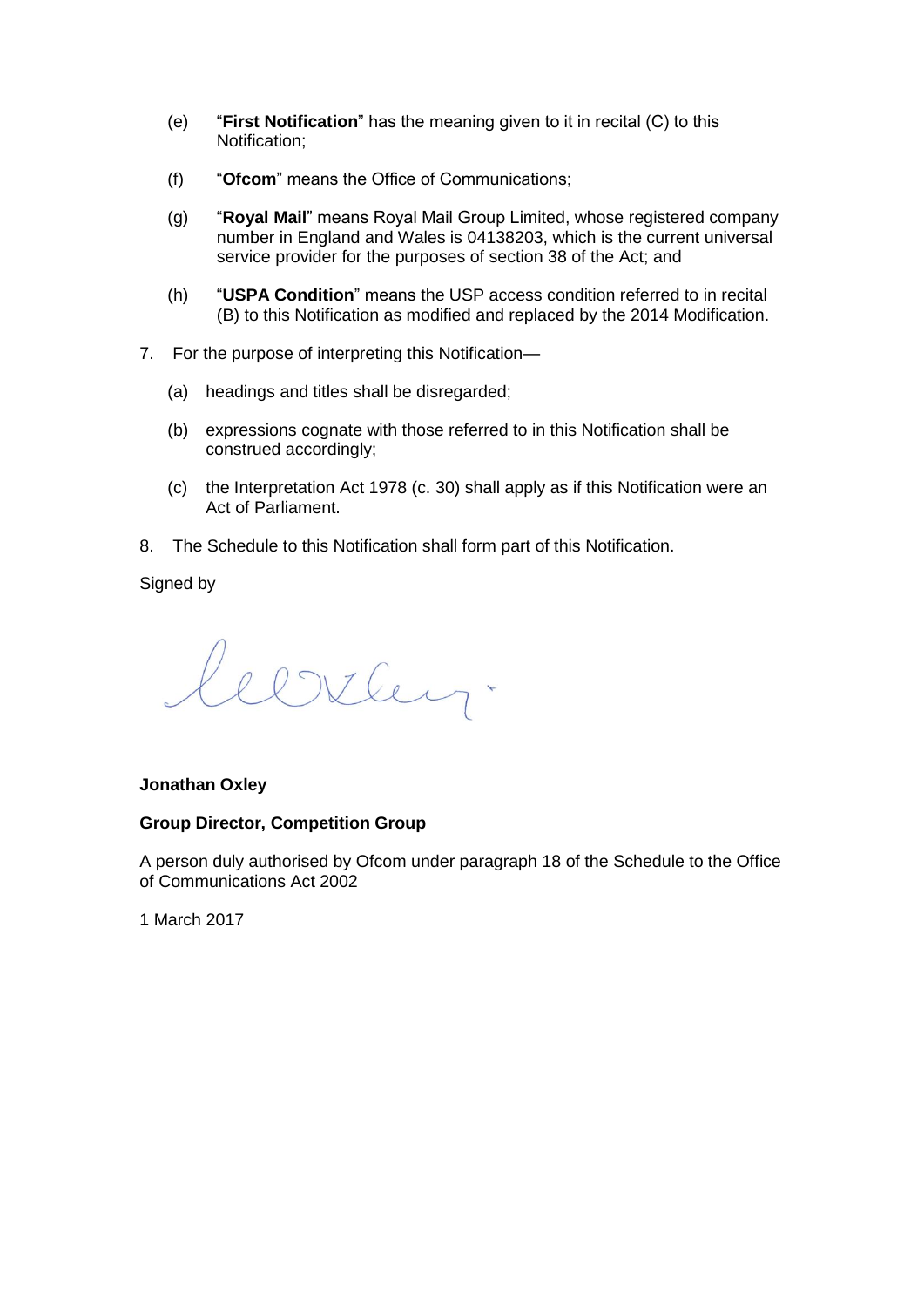- (e) "**First Notification**" has the meaning given to it in recital (C) to this Notification;
- (f) "**Ofcom**" means the Office of Communications;
- (g) "**Royal Mail**" means Royal Mail Group Limited, whose registered company number in England and Wales is 04138203, which is the current universal service provider for the purposes of section 38 of the Act; and
- (h) "**USPA Condition**" means the USP access condition referred to in recital (B) to this Notification as modified and replaced by the 2014 Modification.
- 7. For the purpose of interpreting this Notification—
	- (a) headings and titles shall be disregarded;
	- (b) expressions cognate with those referred to in this Notification shall be construed accordingly;
	- (c) the Interpretation Act 1978 (c. 30) shall apply as if this Notification were an Act of Parliament.
- 8. The Schedule to this Notification shall form part of this Notification.

Signed by

Clitten.

#### **Jonathan Oxley**

#### **Group Director, Competition Group**

A person duly authorised by Ofcom under paragraph 18 of the Schedule to the Office of Communications Act 2002

1 March 2017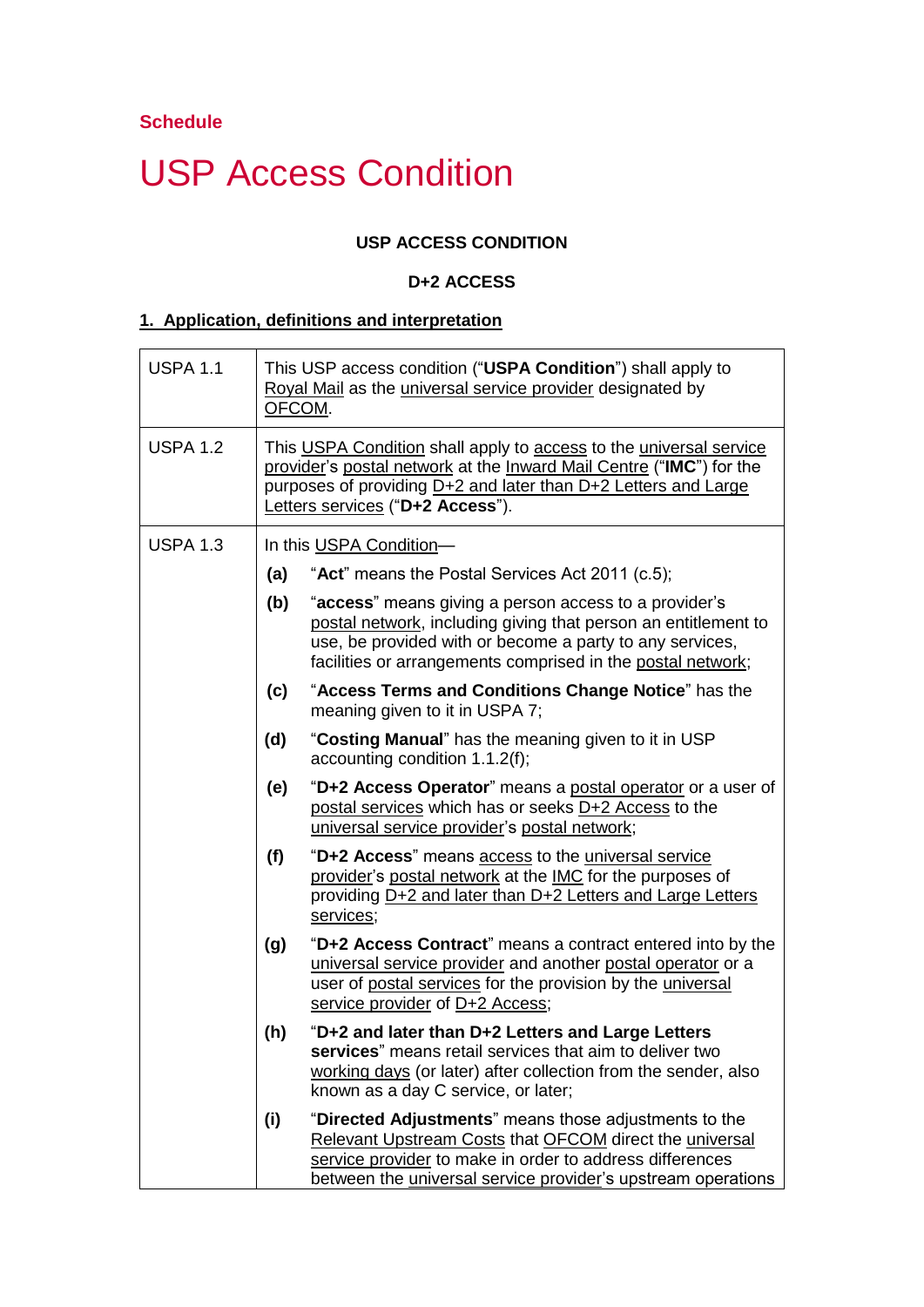# USP Access Condition

## **USP ACCESS CONDITION**

### **D+2 ACCESS**

## **1. Application, definitions and interpretation**

| <b>USPA 1.1</b> | This USP access condition ("USPA Condition") shall apply to<br>Royal Mail as the universal service provider designated by<br>OFCOM. |                                                                                                                                                                                                                                                     |  |  |
|-----------------|-------------------------------------------------------------------------------------------------------------------------------------|-----------------------------------------------------------------------------------------------------------------------------------------------------------------------------------------------------------------------------------------------------|--|--|
| <b>USPA 1.2</b> |                                                                                                                                     | This USPA Condition shall apply to access to the universal service<br>provider's postal network at the Inward Mail Centre ("IMC") for the<br>purposes of providing D+2 and later than D+2 Letters and Large<br>Letters services ("D+2 Access").     |  |  |
| <b>USPA 1.3</b> |                                                                                                                                     | In this USPA Condition-                                                                                                                                                                                                                             |  |  |
|                 | (a)                                                                                                                                 | "Act" means the Postal Services Act 2011 (c.5);                                                                                                                                                                                                     |  |  |
|                 | (b)                                                                                                                                 | "access" means giving a person access to a provider's<br>postal network, including giving that person an entitlement to<br>use, be provided with or become a party to any services,<br>facilities or arrangements comprised in the postal network;  |  |  |
|                 | (c)                                                                                                                                 | "Access Terms and Conditions Change Notice" has the<br>meaning given to it in USPA 7;                                                                                                                                                               |  |  |
|                 | (d)                                                                                                                                 | "Costing Manual" has the meaning given to it in USP<br>accounting condition 1.1.2(f);                                                                                                                                                               |  |  |
|                 | (e)                                                                                                                                 | "D+2 Access Operator" means a postal operator or a user of<br>postal services which has or seeks D+2 Access to the<br>universal service provider's postal network;                                                                                  |  |  |
|                 | (f)                                                                                                                                 | "D+2 Access" means access to the universal service<br>provider's postal network at the IMC for the purposes of<br>providing D+2 and later than D+2 Letters and Large Letters<br>services;                                                           |  |  |
|                 | (g)                                                                                                                                 | "D+2 Access Contract" means a contract entered into by the<br>universal service provider and another postal operator or a<br>user of postal services for the provision by the universal<br>service provider of D+2 Access;                          |  |  |
|                 | (h)                                                                                                                                 | "D+2 and later than D+2 Letters and Large Letters<br>services" means retail services that aim to deliver two<br>working days (or later) after collection from the sender, also<br>known as a day C service, or later;                               |  |  |
|                 | (i)                                                                                                                                 | "Directed Adjustments" means those adjustments to the<br>Relevant Upstream Costs that OFCOM direct the universal<br>service provider to make in order to address differences<br>between the <i>universal service provider's</i> upstream operations |  |  |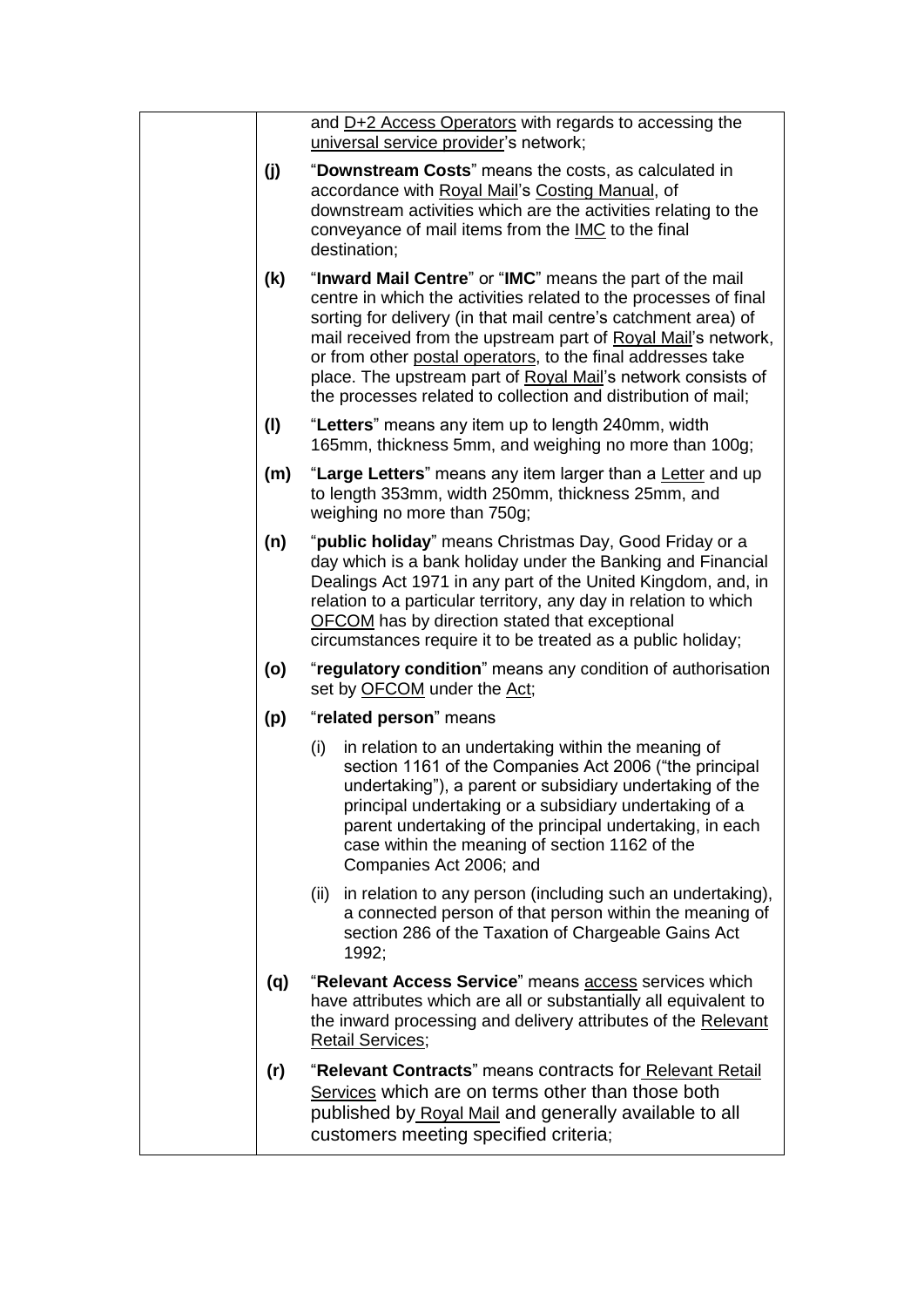|     | and D+2 Access Operators with regards to accessing the<br>universal service provider's network;                                                                                                                                                                                                                                                                                                                                                                 |
|-----|-----------------------------------------------------------------------------------------------------------------------------------------------------------------------------------------------------------------------------------------------------------------------------------------------------------------------------------------------------------------------------------------------------------------------------------------------------------------|
| (j) | "Downstream Costs" means the costs, as calculated in<br>accordance with Royal Mail's Costing Manual, of<br>downstream activities which are the activities relating to the<br>conveyance of mail items from the IMC to the final<br>destination;                                                                                                                                                                                                                 |
| (k) | "Inward Mail Centre" or "IMC" means the part of the mail<br>centre in which the activities related to the processes of final<br>sorting for delivery (in that mail centre's catchment area) of<br>mail received from the upstream part of Royal Mail's network,<br>or from other postal operators, to the final addresses take<br>place. The upstream part of Royal Mail's network consists of<br>the processes related to collection and distribution of mail; |
| (1) | "Letters" means any item up to length 240mm, width<br>165mm, thickness 5mm, and weighing no more than 100g;                                                                                                                                                                                                                                                                                                                                                     |
| (m) | "Large Letters" means any item larger than a Letter and up<br>to length 353mm, width 250mm, thickness 25mm, and<br>weighing no more than 750g;                                                                                                                                                                                                                                                                                                                  |
| (n) | "public holiday" means Christmas Day, Good Friday or a<br>day which is a bank holiday under the Banking and Financial<br>Dealings Act 1971 in any part of the United Kingdom, and, in<br>relation to a particular territory, any day in relation to which<br><b>OFCOM</b> has by direction stated that exceptional<br>circumstances require it to be treated as a public holiday;                                                                               |
| (o) | "regulatory condition" means any condition of authorisation<br>set by OFCOM under the Act;                                                                                                                                                                                                                                                                                                                                                                      |
| (p) | "related person" means                                                                                                                                                                                                                                                                                                                                                                                                                                          |
|     | (i)<br>in relation to an undertaking within the meaning of<br>section 1161 of the Companies Act 2006 ("the principal<br>undertaking"), a parent or subsidiary undertaking of the<br>principal undertaking or a subsidiary undertaking of a<br>parent undertaking of the principal undertaking, in each<br>case within the meaning of section 1162 of the<br>Companies Act 2006; and                                                                             |
|     | in relation to any person (including such an undertaking),<br>(ii)<br>a connected person of that person within the meaning of<br>section 286 of the Taxation of Chargeable Gains Act<br>1992:                                                                                                                                                                                                                                                                   |
| (q) | "Relevant Access Service" means access services which<br>have attributes which are all or substantially all equivalent to<br>the inward processing and delivery attributes of the Relevant<br><b>Retail Services;</b>                                                                                                                                                                                                                                           |
| (r) | "Relevant Contracts" means contracts for Relevant Retail<br>Services which are on terms other than those both<br>published by Royal Mail and generally available to all<br>customers meeting specified criteria;                                                                                                                                                                                                                                                |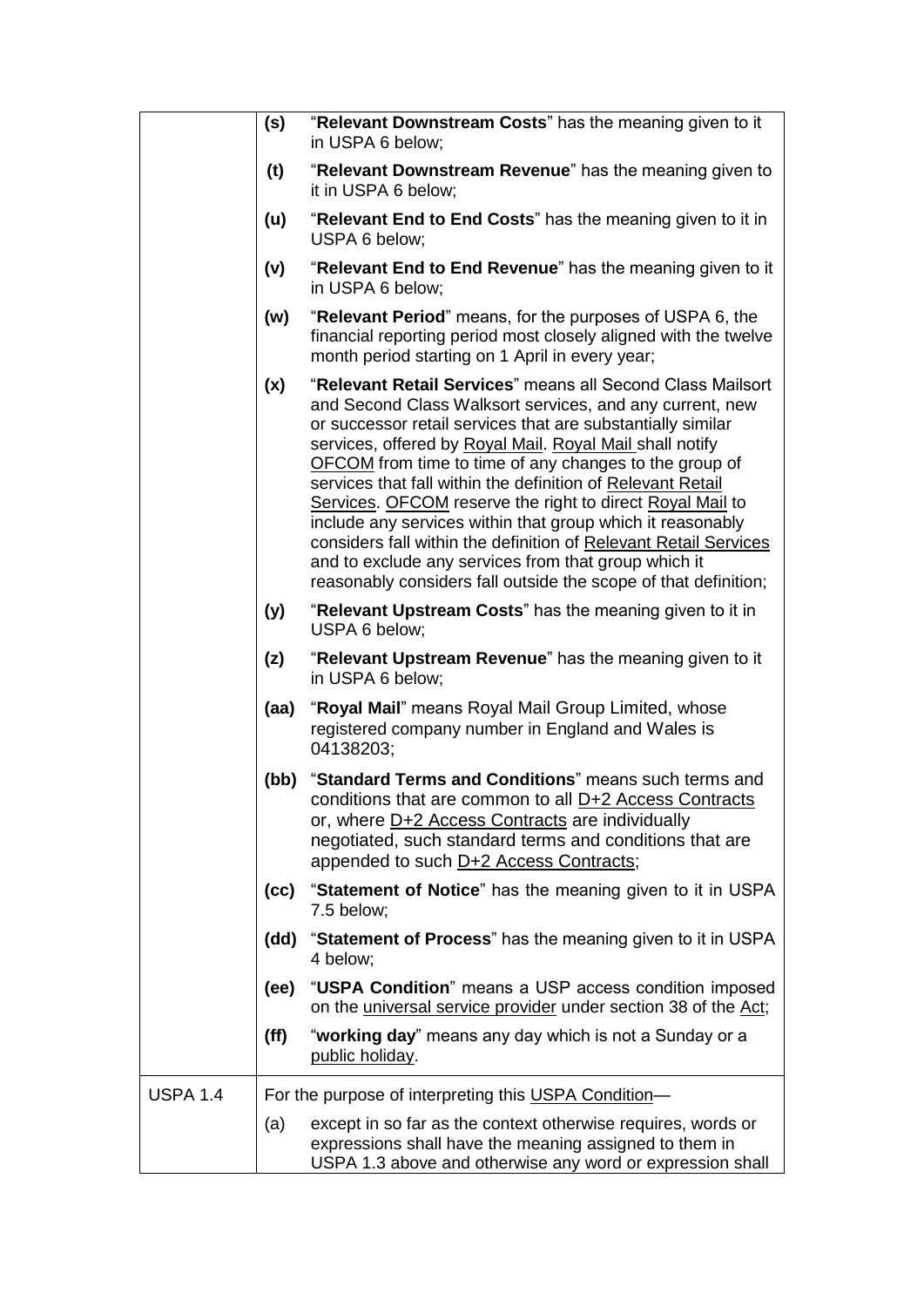|                 | (s)  | "Relevant Downstream Costs" has the meaning given to it<br>in USPA 6 below;                                                                                                                                                                                                                                                                                                                                                                                                                                                                                                                                                                                                                                 |
|-----------------|------|-------------------------------------------------------------------------------------------------------------------------------------------------------------------------------------------------------------------------------------------------------------------------------------------------------------------------------------------------------------------------------------------------------------------------------------------------------------------------------------------------------------------------------------------------------------------------------------------------------------------------------------------------------------------------------------------------------------|
|                 | (t)  | "Relevant Downstream Revenue" has the meaning given to<br>it in USPA 6 below;                                                                                                                                                                                                                                                                                                                                                                                                                                                                                                                                                                                                                               |
|                 | (u)  | "Relevant End to End Costs" has the meaning given to it in<br>USPA 6 below;                                                                                                                                                                                                                                                                                                                                                                                                                                                                                                                                                                                                                                 |
|                 | (v)  | "Relevant End to End Revenue" has the meaning given to it<br>in USPA 6 below;                                                                                                                                                                                                                                                                                                                                                                                                                                                                                                                                                                                                                               |
|                 | (w)  | "Relevant Period" means, for the purposes of USPA 6, the<br>financial reporting period most closely aligned with the twelve<br>month period starting on 1 April in every year;                                                                                                                                                                                                                                                                                                                                                                                                                                                                                                                              |
|                 | (x)  | "Relevant Retail Services" means all Second Class Mailsort<br>and Second Class Walksort services, and any current, new<br>or successor retail services that are substantially similar<br>services, offered by Royal Mail. Royal Mail shall notify<br><b>OFCOM</b> from time to time of any changes to the group of<br>services that fall within the definition of Relevant Retail<br>Services. OFCOM reserve the right to direct Royal Mail to<br>include any services within that group which it reasonably<br>considers fall within the definition of Relevant Retail Services<br>and to exclude any services from that group which it<br>reasonably considers fall outside the scope of that definition; |
|                 | (y)  | "Relevant Upstream Costs" has the meaning given to it in<br>USPA 6 below;                                                                                                                                                                                                                                                                                                                                                                                                                                                                                                                                                                                                                                   |
|                 | (z)  | "Relevant Upstream Revenue" has the meaning given to it<br>in USPA 6 below;                                                                                                                                                                                                                                                                                                                                                                                                                                                                                                                                                                                                                                 |
|                 | (aa) | "Royal Mail" means Royal Mail Group Limited, whose<br>registered company number in England and Wales is<br>04138203;                                                                                                                                                                                                                                                                                                                                                                                                                                                                                                                                                                                        |
|                 | (bb) | "Standard Terms and Conditions" means such terms and<br>conditions that are common to all D+2 Access Contracts<br>or, where D+2 Access Contracts are individually<br>negotiated, such standard terms and conditions that are<br>appended to such D+2 Access Contracts;                                                                                                                                                                                                                                                                                                                                                                                                                                      |
|                 |      | (cc) "Statement of Notice" has the meaning given to it in USPA<br>7.5 below;                                                                                                                                                                                                                                                                                                                                                                                                                                                                                                                                                                                                                                |
|                 | (dd) | "Statement of Process" has the meaning given to it in USPA<br>4 below;                                                                                                                                                                                                                                                                                                                                                                                                                                                                                                                                                                                                                                      |
|                 | (ee) | "USPA Condition" means a USP access condition imposed<br>on the universal service provider under section 38 of the Act;                                                                                                                                                                                                                                                                                                                                                                                                                                                                                                                                                                                     |
|                 | (ff) | "working day" means any day which is not a Sunday or a<br>public holiday.                                                                                                                                                                                                                                                                                                                                                                                                                                                                                                                                                                                                                                   |
| <b>USPA 1.4</b> |      | For the purpose of interpreting this USPA Condition-                                                                                                                                                                                                                                                                                                                                                                                                                                                                                                                                                                                                                                                        |
|                 | (a)  | except in so far as the context otherwise requires, words or<br>expressions shall have the meaning assigned to them in<br>USPA 1.3 above and otherwise any word or expression shall                                                                                                                                                                                                                                                                                                                                                                                                                                                                                                                         |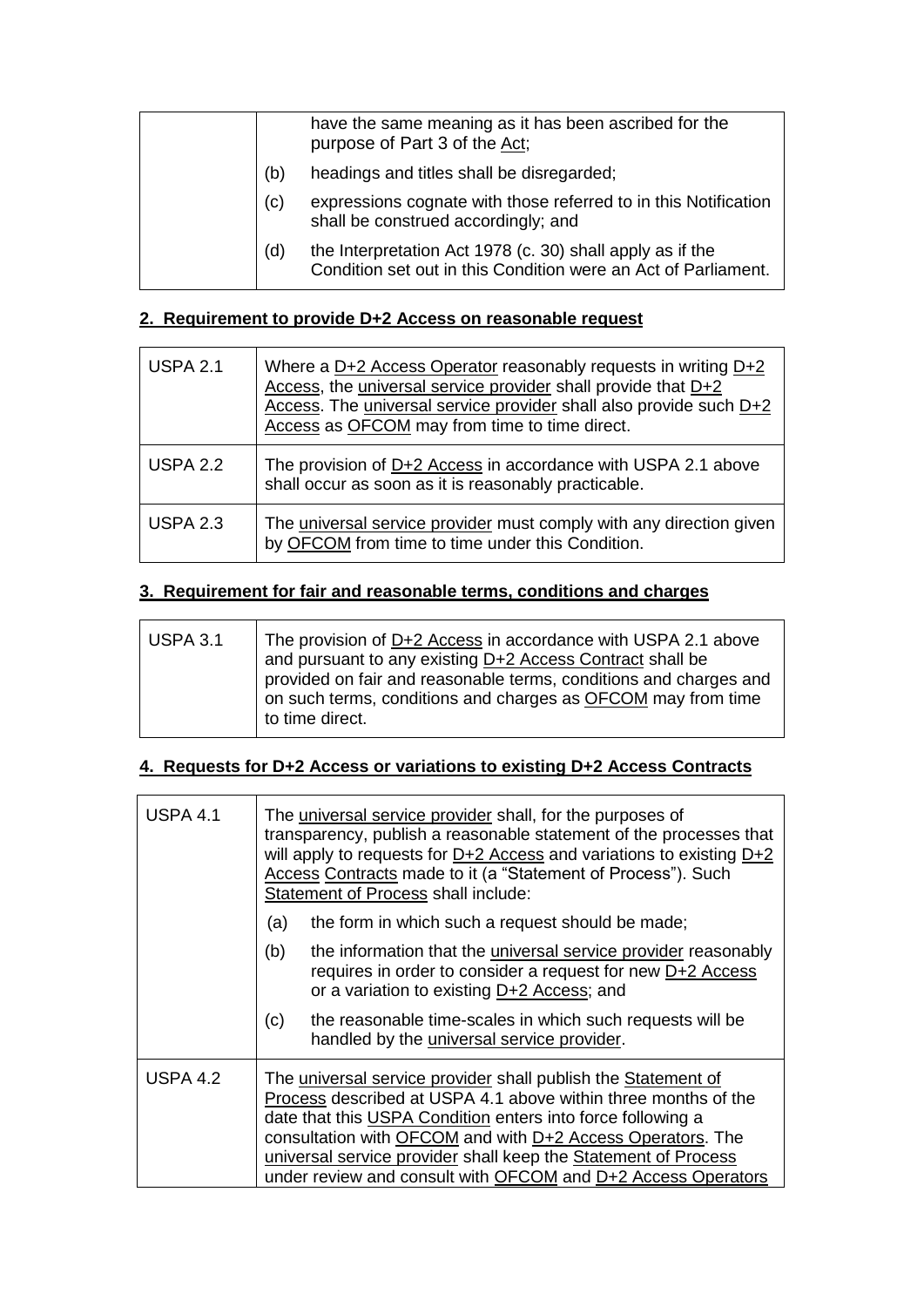|  |     | have the same meaning as it has been ascribed for the<br>purpose of Part 3 of the Act;                                      |
|--|-----|-----------------------------------------------------------------------------------------------------------------------------|
|  | (b) | headings and titles shall be disregarded;                                                                                   |
|  | (c) | expressions cognate with those referred to in this Notification<br>shall be construed accordingly; and                      |
|  | (d) | the Interpretation Act 1978 (c. 30) shall apply as if the<br>Condition set out in this Condition were an Act of Parliament. |
|  |     |                                                                                                                             |

## **2. Requirement to provide D+2 Access on reasonable request**

| <b>USPA 2.1</b> | Where a $D+2$ Access Operator reasonably requests in writing $D+2$<br>Access, the universal service provider shall provide that D+2<br>Access. The universal service provider shall also provide such D+2<br>Access as OFCOM may from time to time direct. |
|-----------------|------------------------------------------------------------------------------------------------------------------------------------------------------------------------------------------------------------------------------------------------------------|
| <b>USPA 2.2</b> | The provision of D+2 Access in accordance with USPA 2.1 above<br>shall occur as soon as it is reasonably practicable.                                                                                                                                      |
| <b>USPA 2.3</b> | The universal service provider must comply with any direction given<br>by OFCOM from time to time under this Condition.                                                                                                                                    |

## **3. Requirement for fair and reasonable terms, conditions and charges**

 $\overline{a}$ 

| USPA 3.1 | The provision of D+2 Access in accordance with USPA 2.1 above<br>and pursuant to any existing D+2 Access Contract shall be<br>provided on fair and reasonable terms, conditions and charges and<br>on such terms, conditions and charges as OFCOM may from time<br>to time direct. |
|----------|------------------------------------------------------------------------------------------------------------------------------------------------------------------------------------------------------------------------------------------------------------------------------------|
|          |                                                                                                                                                                                                                                                                                    |

## **4. Requests for D+2 Access or variations to existing D+2 Access Contracts**

| <b>USPA 4.1</b> | The universal service provider shall, for the purposes of<br>transparency, publish a reasonable statement of the processes that<br>will apply to requests for D+2 Access and variations to existing D+2<br>Access Contracts made to it (a "Statement of Process"). Such<br>Statement of Process shall include:                                                                                 |  |  |
|-----------------|------------------------------------------------------------------------------------------------------------------------------------------------------------------------------------------------------------------------------------------------------------------------------------------------------------------------------------------------------------------------------------------------|--|--|
|                 | the form in which such a request should be made;<br>(a)                                                                                                                                                                                                                                                                                                                                        |  |  |
|                 | the information that the <i>universal service</i> provider reasonably<br>(b)<br>requires in order to consider a request for new D+2 Access<br>or a variation to existing D+2 Access; and                                                                                                                                                                                                       |  |  |
|                 | the reasonable time-scales in which such requests will be<br>(c)<br>handled by the <i>universal service</i> provider.                                                                                                                                                                                                                                                                          |  |  |
| <b>USPA 4.2</b> | The universal service provider shall publish the Statement of<br>Process described at USPA 4.1 above within three months of the<br>date that this USPA Condition enters into force following a<br>consultation with OFCOM and with D+2 Access Operators. The<br>universal service provider shall keep the Statement of Process<br>under review and consult with OFCOM and D+2 Access Operators |  |  |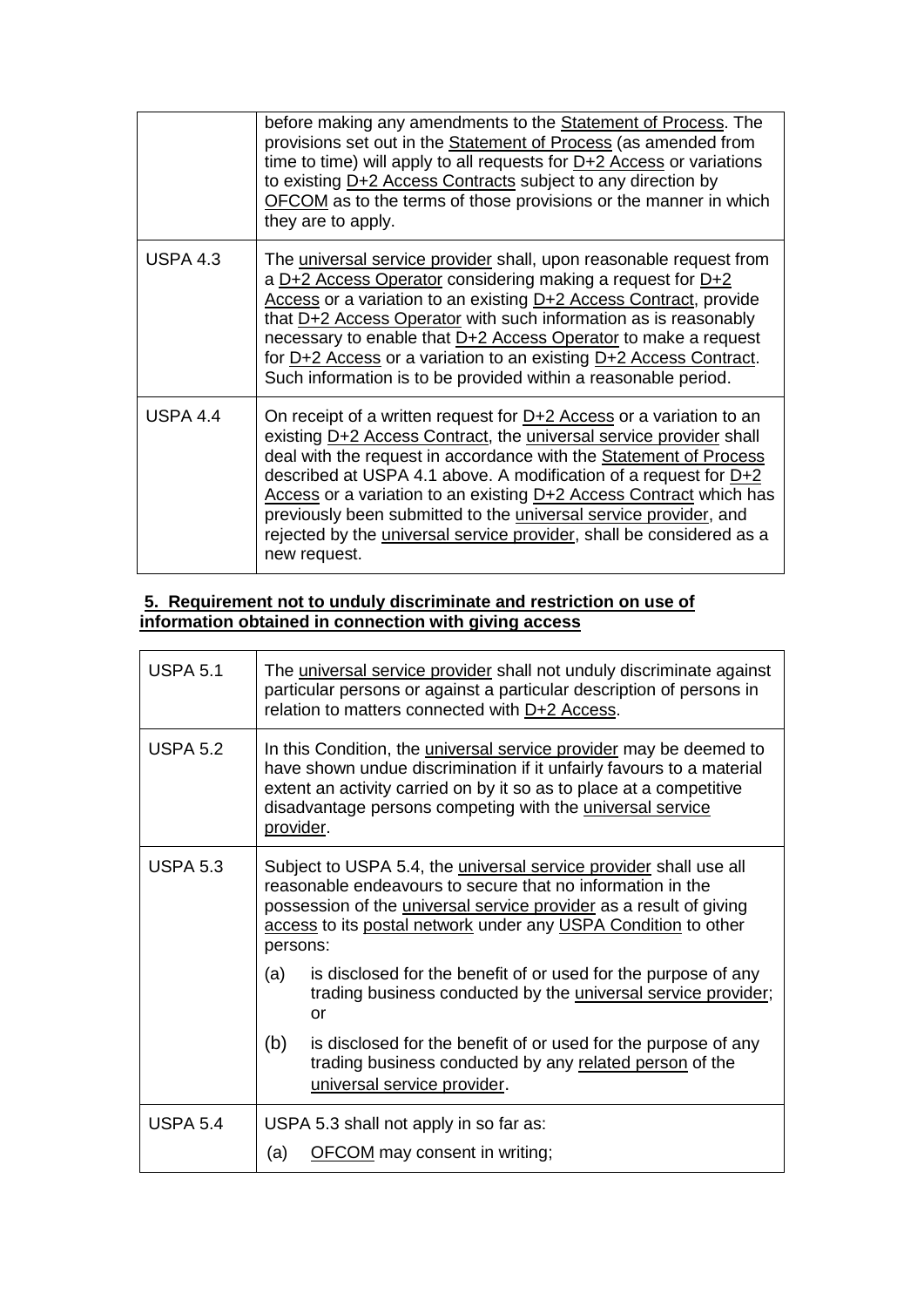|                 | before making any amendments to the Statement of Process. The<br>provisions set out in the <b>Statement of Process</b> (as amended from<br>time to time) will apply to all requests for $D+2$ Access or variations<br>to existing D+2 Access Contracts subject to any direction by<br>OFCOM as to the terms of those provisions or the manner in which<br>they are to apply.                                                                                                                                                     |
|-----------------|----------------------------------------------------------------------------------------------------------------------------------------------------------------------------------------------------------------------------------------------------------------------------------------------------------------------------------------------------------------------------------------------------------------------------------------------------------------------------------------------------------------------------------|
| <b>USPA 4.3</b> | The universal service provider shall, upon reasonable request from<br>a D+2 Access Operator considering making a request for D+2<br>Access or a variation to an existing D+2 Access Contract, provide<br>that $D+2$ Access Operator with such information as is reasonably<br>necessary to enable that D+2 Access Operator to make a request<br>for D+2 Access or a variation to an existing D+2 Access Contract.<br>Such information is to be provided within a reasonable period.                                              |
| <b>USPA 4.4</b> | On receipt of a written request for $D+2$ Access or a variation to an<br>existing D+2 Access Contract, the universal service provider shall<br>deal with the request in accordance with the Statement of Process<br>described at USPA 4.1 above. A modification of a request for $D+2$<br>Access or a variation to an existing D+2 Access Contract which has<br>previously been submitted to the universal service provider, and<br>rejected by the <i>universal service provider</i> , shall be considered as a<br>new request. |

#### **5. Requirement not to unduly discriminate and restriction on use of information obtained in connection with giving access**

| <b>USPA 5.1</b> | The universal service provider shall not unduly discriminate against<br>particular persons or against a particular description of persons in<br>relation to matters connected with D+2 Access.                                                                                                     |  |  |
|-----------------|----------------------------------------------------------------------------------------------------------------------------------------------------------------------------------------------------------------------------------------------------------------------------------------------------|--|--|
| <b>USPA 5.2</b> | In this Condition, the <i>universal service provider</i> may be deemed to<br>have shown undue discrimination if it unfairly favours to a material<br>extent an activity carried on by it so as to place at a competitive<br>disadvantage persons competing with the universal service<br>provider. |  |  |
| <b>USPA 5.3</b> | Subject to USPA 5.4, the <i>universal service provider</i> shall use all<br>reasonable endeavours to secure that no information in the<br>possession of the <i>universal service provider</i> as a result of giving<br>access to its postal network under any USPA Condition to other<br>persons:  |  |  |
|                 | is disclosed for the benefit of or used for the purpose of any<br>(a)<br>trading business conducted by the <i>universal service provider</i> ;<br>or                                                                                                                                               |  |  |
|                 | (b)<br>is disclosed for the benefit of or used for the purpose of any<br>trading business conducted by any related person of the<br>universal service provider.                                                                                                                                    |  |  |
| <b>USPA 5.4</b> | USPA 5.3 shall not apply in so far as:<br><b>OFCOM</b> may consent in writing;<br>(a)                                                                                                                                                                                                              |  |  |
|                 |                                                                                                                                                                                                                                                                                                    |  |  |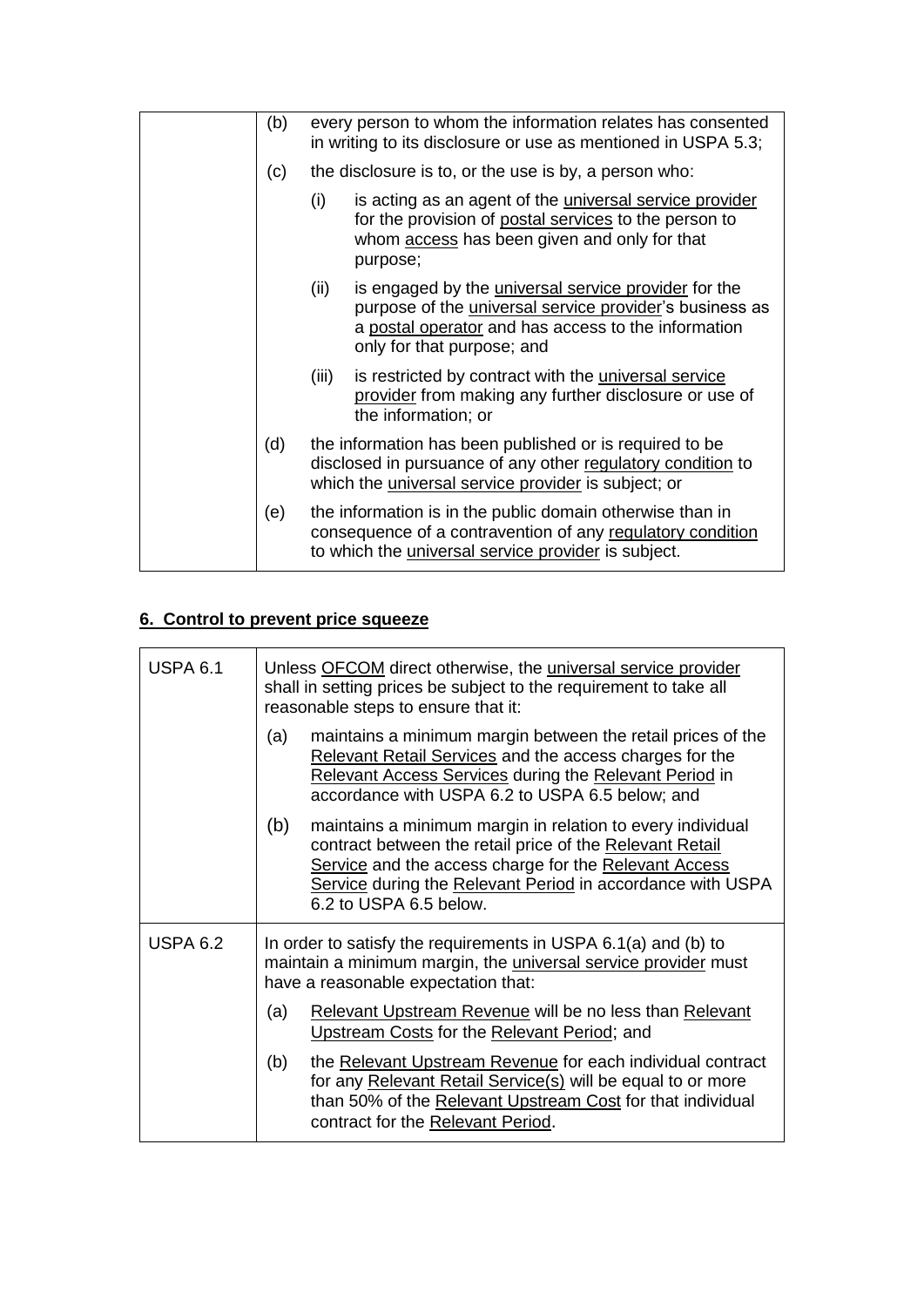| (b) |       | every person to whom the information relates has consented<br>in writing to its disclosure or use as mentioned in USPA 5.3;                                                                                        |
|-----|-------|--------------------------------------------------------------------------------------------------------------------------------------------------------------------------------------------------------------------|
| (c) |       | the disclosure is to, or the use is by, a person who:                                                                                                                                                              |
|     | (i)   | is acting as an agent of the <i>universal service</i> provider<br>for the provision of postal services to the person to<br>whom access has been given and only for that<br>purpose;                                |
|     | (ii)  | is engaged by the <i>universal service</i> provider for the<br>purpose of the <i>universal service provider's</i> business as<br>a postal operator and has access to the information<br>only for that purpose; and |
|     | (iii) | is restricted by contract with the universal service<br>provider from making any further disclosure or use of<br>the information; or                                                                               |
| (d) |       | the information has been published or is required to be<br>disclosed in pursuance of any other regulatory condition to<br>which the universal service provider is subject; or                                      |
| (e) |       | the information is in the public domain otherwise than in<br>consequence of a contravention of any regulatory condition<br>to which the <i>universal service</i> provider is subject.                              |

## **6. Control to prevent price squeeze**

| <b>USPA 6.1</b> | Unless OFCOM direct otherwise, the universal service provider<br>shall in setting prices be subject to the requirement to take all<br>reasonable steps to ensure that it:                                                                                                      |  |  |
|-----------------|--------------------------------------------------------------------------------------------------------------------------------------------------------------------------------------------------------------------------------------------------------------------------------|--|--|
|                 | maintains a minimum margin between the retail prices of the<br>(a)<br>Relevant Retail Services and the access charges for the<br>Relevant Access Services during the Relevant Period in<br>accordance with USPA 6.2 to USPA 6.5 below; and                                     |  |  |
|                 | (b)<br>maintains a minimum margin in relation to every individual<br>contract between the retail price of the Relevant Retail<br>Service and the access charge for the Relevant Access<br>Service during the Relevant Period in accordance with USPA<br>6.2 to USPA 6.5 below. |  |  |
| <b>USPA 6.2</b> | In order to satisfy the requirements in USPA 6.1(a) and (b) to<br>maintain a minimum margin, the <i>universal service provider</i> must<br>have a reasonable expectation that:                                                                                                 |  |  |
|                 | Relevant Upstream Revenue will be no less than Relevant<br>(a)<br>Upstream Costs for the Relevant Period; and                                                                                                                                                                  |  |  |
|                 | the Relevant Upstream Revenue for each individual contract<br>(b)<br>for any Relevant Retail Service(s) will be equal to or more<br>than 50% of the Relevant Upstream Cost for that individual<br>contract for the Relevant Period.                                            |  |  |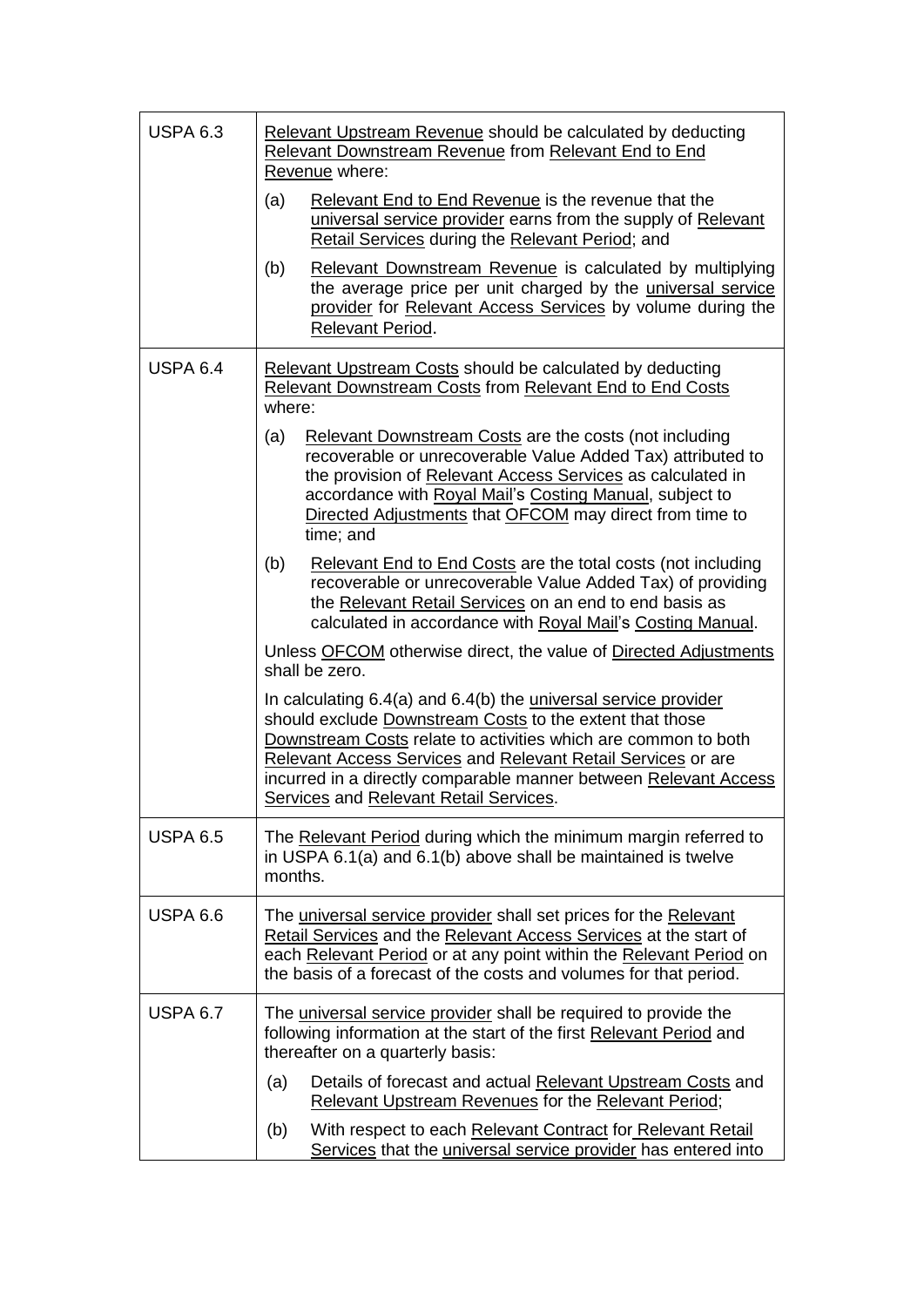| <b>USPA 6.3</b> | Relevant Upstream Revenue should be calculated by deducting<br>Relevant Downstream Revenue from Relevant End to End<br>Revenue where:                                                                                                                                                                                                                                       |  |  |
|-----------------|-----------------------------------------------------------------------------------------------------------------------------------------------------------------------------------------------------------------------------------------------------------------------------------------------------------------------------------------------------------------------------|--|--|
|                 | Relevant End to End Revenue is the revenue that the<br>(a)<br>universal service provider earns from the supply of Relevant<br>Retail Services during the Relevant Period; and                                                                                                                                                                                               |  |  |
|                 | (b)<br>Relevant Downstream Revenue is calculated by multiplying<br>the average price per unit charged by the universal service<br>provider for Relevant Access Services by volume during the<br>Relevant Period.                                                                                                                                                            |  |  |
| <b>USPA 6.4</b> | Relevant Upstream Costs should be calculated by deducting<br><b>Relevant Downstream Costs from Relevant End to End Costs</b><br>where:                                                                                                                                                                                                                                      |  |  |
|                 | (a)<br>Relevant Downstream Costs are the costs (not including<br>recoverable or unrecoverable Value Added Tax) attributed to<br>the provision of Relevant Access Services as calculated in<br>accordance with Royal Mail's Costing Manual, subject to<br>Directed Adjustments that OFCOM may direct from time to<br>time; and                                               |  |  |
|                 | (b)<br>Relevant End to End Costs are the total costs (not including<br>recoverable or unrecoverable Value Added Tax) of providing<br>the Relevant Retail Services on an end to end basis as<br>calculated in accordance with Royal Mail's Costing Manual.                                                                                                                   |  |  |
|                 | Unless OFCOM otherwise direct, the value of Directed Adjustments<br>shall be zero.                                                                                                                                                                                                                                                                                          |  |  |
|                 | In calculating 6.4(a) and 6.4(b) the universal service provider<br>should exclude Downstream Costs to the extent that those<br>Downstream Costs relate to activities which are common to both<br>Relevant Access Services and Relevant Retail Services or are<br>incurred in a directly comparable manner between Relevant Access<br>Services and Relevant Retail Services. |  |  |
| <b>USPA 6.5</b> | The Relevant Period during which the minimum margin referred to<br>in USPA 6.1(a) and 6.1(b) above shall be maintained is twelve<br>months.                                                                                                                                                                                                                                 |  |  |
| <b>USPA 6.6</b> | The universal service provider shall set prices for the Relevant<br>Retail Services and the Relevant Access Services at the start of<br>each Relevant Period or at any point within the Relevant Period on<br>the basis of a forecast of the costs and volumes for that period.                                                                                             |  |  |
| <b>USPA 6.7</b> | The universal service provider shall be required to provide the<br>following information at the start of the first Relevant Period and<br>thereafter on a quarterly basis:                                                                                                                                                                                                  |  |  |
|                 | Details of forecast and actual Relevant Upstream Costs and<br>(a)<br>Relevant Upstream Revenues for the Relevant Period;                                                                                                                                                                                                                                                    |  |  |
|                 | With respect to each Relevant Contract for Relevant Retail<br>(b)<br>Services that the universal service provider has entered into                                                                                                                                                                                                                                          |  |  |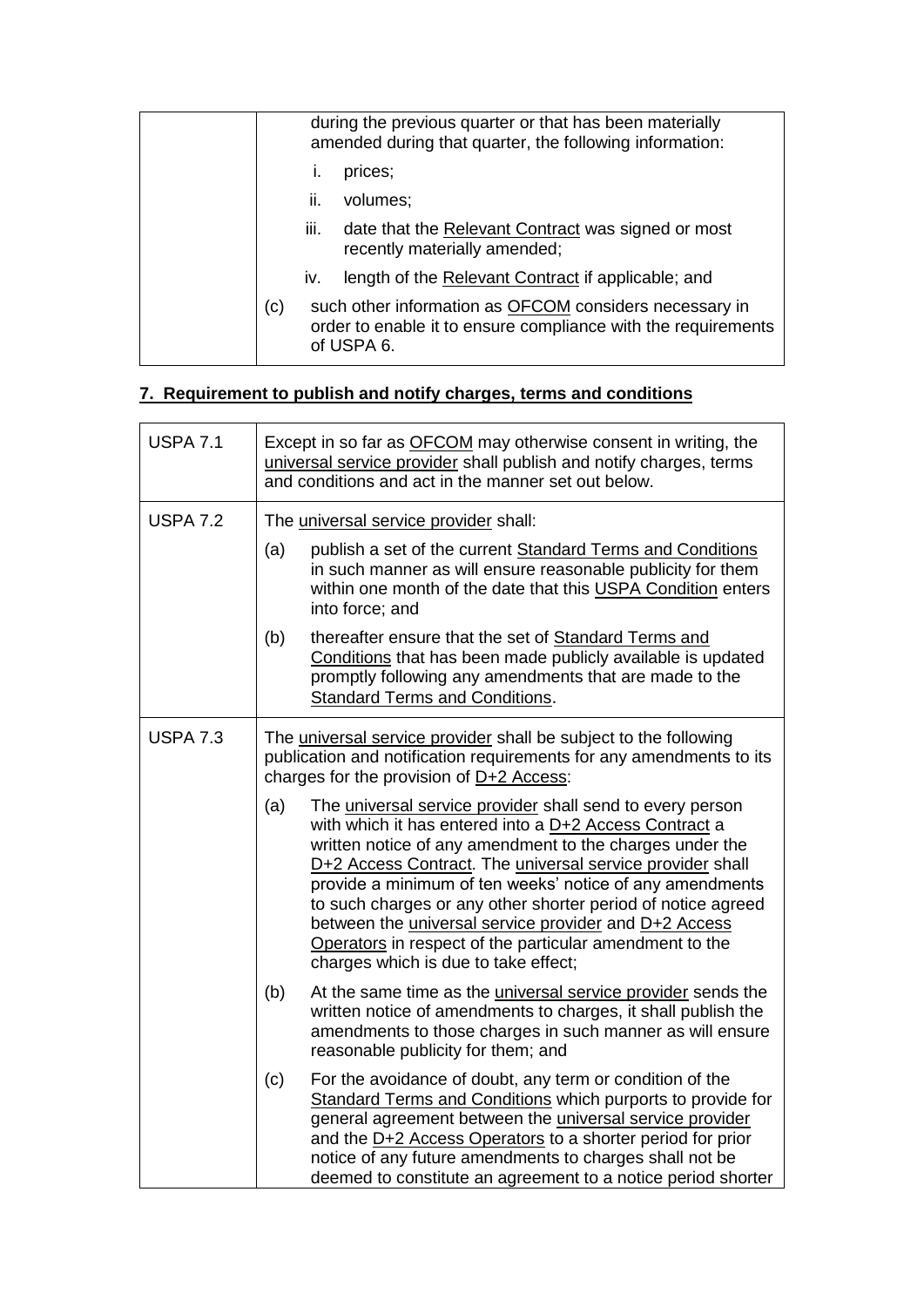|     |      | during the previous quarter or that has been materially<br>amended during that quarter, the following information:                    |
|-----|------|---------------------------------------------------------------------------------------------------------------------------------------|
|     | Τ.   | prices;                                                                                                                               |
|     | ii.  | volumes;                                                                                                                              |
|     | iii. | date that the Relevant Contract was signed or most<br>recently materially amended;                                                    |
|     | İV.  | length of the Relevant Contract if applicable; and                                                                                    |
| (c) |      | such other information as OFCOM considers necessary in<br>order to enable it to ensure compliance with the requirements<br>of USPA 6. |

## **7. Requirement to publish and notify charges, terms and conditions**

| <b>USPA 7.1</b> | Except in so far as OFCOM may otherwise consent in writing, the<br>universal service provider shall publish and notify charges, terms<br>and conditions and act in the manner set out below.                                                                                                                                                                                                                                                                                                                                                       |  |  |
|-----------------|----------------------------------------------------------------------------------------------------------------------------------------------------------------------------------------------------------------------------------------------------------------------------------------------------------------------------------------------------------------------------------------------------------------------------------------------------------------------------------------------------------------------------------------------------|--|--|
| <b>USPA 7.2</b> | The universal service provider shall:                                                                                                                                                                                                                                                                                                                                                                                                                                                                                                              |  |  |
|                 | (a)<br>publish a set of the current Standard Terms and Conditions<br>in such manner as will ensure reasonable publicity for them<br>within one month of the date that this USPA Condition enters<br>into force; and                                                                                                                                                                                                                                                                                                                                |  |  |
|                 | thereafter ensure that the set of Standard Terms and<br>(b)<br>Conditions that has been made publicly available is updated<br>promptly following any amendments that are made to the<br><b>Standard Terms and Conditions.</b>                                                                                                                                                                                                                                                                                                                      |  |  |
| <b>USPA 7.3</b> | The universal service provider shall be subject to the following<br>publication and notification requirements for any amendments to its<br>charges for the provision of D+2 Access:                                                                                                                                                                                                                                                                                                                                                                |  |  |
|                 | (a)<br>The universal service provider shall send to every person<br>with which it has entered into a D+2 Access Contract a<br>written notice of any amendment to the charges under the<br>D+2 Access Contract. The universal service provider shall<br>provide a minimum of ten weeks' notice of any amendments<br>to such charges or any other shorter period of notice agreed<br>between the <i>universal service provider</i> and D+2 Access<br>Operators in respect of the particular amendment to the<br>charges which is due to take effect; |  |  |
|                 | (b)<br>At the same time as the <i>universal service provider</i> sends the<br>written notice of amendments to charges, it shall publish the<br>amendments to those charges in such manner as will ensure<br>reasonable publicity for them; and                                                                                                                                                                                                                                                                                                     |  |  |
|                 | (c)<br>For the avoidance of doubt, any term or condition of the<br>Standard Terms and Conditions which purports to provide for<br>general agreement between the universal service provider<br>and the D+2 Access Operators to a shorter period for prior<br>notice of any future amendments to charges shall not be<br>deemed to constitute an agreement to a notice period shorter                                                                                                                                                                |  |  |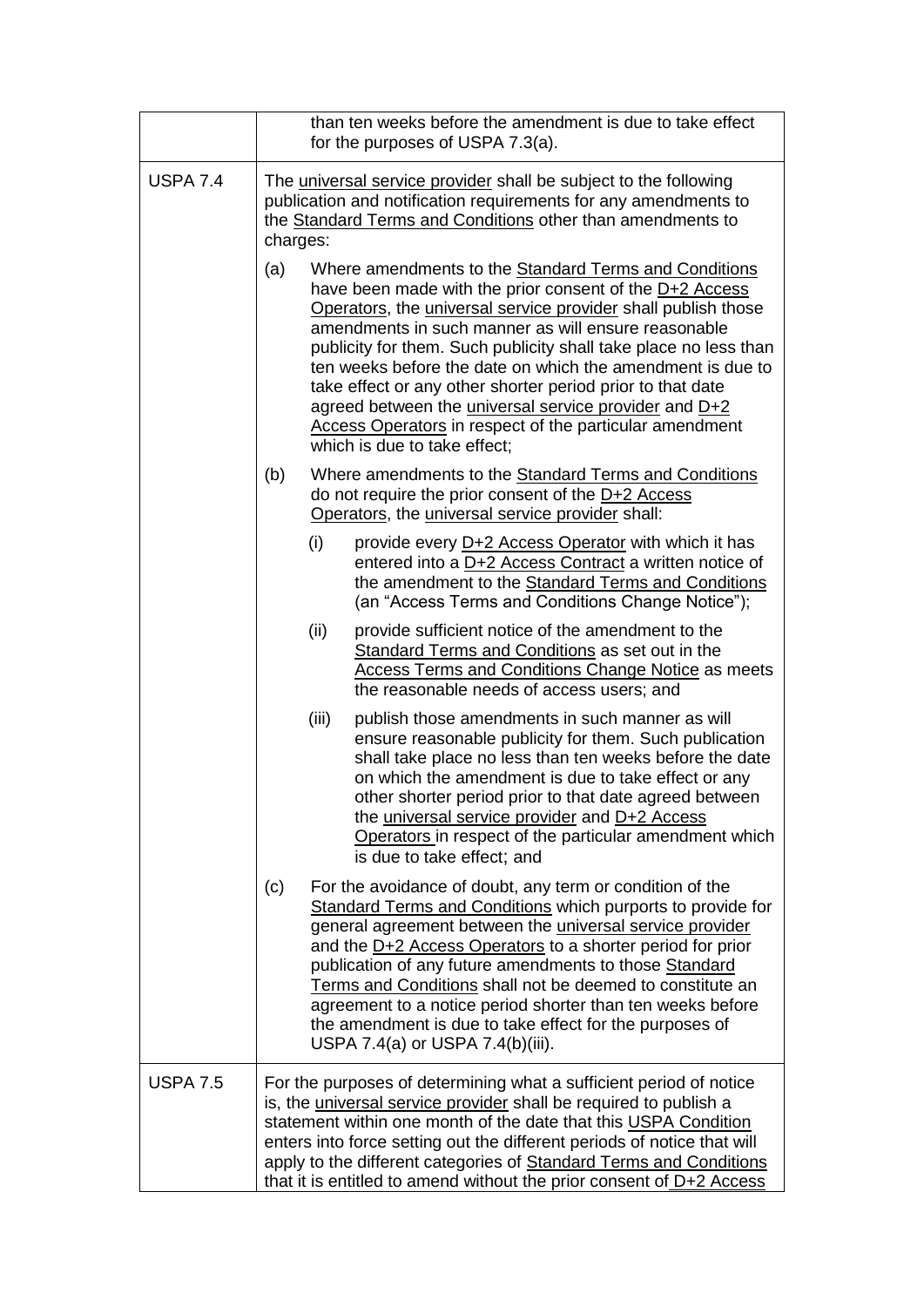|                 | than ten weeks before the amendment is due to take effect<br>for the purposes of USPA 7.3(a).                                                                                                                                                                                                                                                                                                                                                                                                                                                                                                              |  |  |  |
|-----------------|------------------------------------------------------------------------------------------------------------------------------------------------------------------------------------------------------------------------------------------------------------------------------------------------------------------------------------------------------------------------------------------------------------------------------------------------------------------------------------------------------------------------------------------------------------------------------------------------------------|--|--|--|
| <b>USPA 7.4</b> | The universal service provider shall be subject to the following<br>publication and notification requirements for any amendments to<br>the Standard Terms and Conditions other than amendments to<br>charges:                                                                                                                                                                                                                                                                                                                                                                                              |  |  |  |
|                 | (a)<br>Where amendments to the <b>Standard Terms and Conditions</b><br>have been made with the prior consent of the D+2 Access<br>Operators, the universal service provider shall publish those<br>amendments in such manner as will ensure reasonable<br>publicity for them. Such publicity shall take place no less than<br>ten weeks before the date on which the amendment is due to<br>take effect or any other shorter period prior to that date<br>agreed between the universal service provider and D+2<br>Access Operators in respect of the particular amendment<br>which is due to take effect; |  |  |  |
|                 | (b)<br>Where amendments to the Standard Terms and Conditions<br>do not require the prior consent of the D+2 Access<br>Operators, the universal service provider shall:                                                                                                                                                                                                                                                                                                                                                                                                                                     |  |  |  |
|                 | (i)<br>provide every D+2 Access Operator with which it has<br>entered into a D+2 Access Contract a written notice of<br>the amendment to the Standard Terms and Conditions<br>(an "Access Terms and Conditions Change Notice");                                                                                                                                                                                                                                                                                                                                                                            |  |  |  |
|                 | (ii)<br>provide sufficient notice of the amendment to the<br><b>Standard Terms and Conditions as set out in the</b><br><b>Access Terms and Conditions Change Notice as meets</b><br>the reasonable needs of access users; and                                                                                                                                                                                                                                                                                                                                                                              |  |  |  |
|                 | (iii)<br>publish those amendments in such manner as will<br>ensure reasonable publicity for them. Such publication<br>shall take place no less than ten weeks before the date<br>on which the amendment is due to take effect or any<br>other shorter period prior to that date agreed between<br>the universal service provider and D+2 Access<br>Operators in respect of the particular amendment which<br>is due to take effect; and                                                                                                                                                                    |  |  |  |
|                 | (c)<br>For the avoidance of doubt, any term or condition of the<br>Standard Terms and Conditions which purports to provide for<br>general agreement between the <i>universal service provider</i><br>and the D+2 Access Operators to a shorter period for prior<br>publication of any future amendments to those Standard<br>Terms and Conditions shall not be deemed to constitute an<br>agreement to a notice period shorter than ten weeks before<br>the amendment is due to take effect for the purposes of<br>USPA 7.4(a) or USPA 7.4(b)(iii).                                                        |  |  |  |
| <b>USPA 7.5</b> | For the purposes of determining what a sufficient period of notice<br>is, the universal service provider shall be required to publish a<br>statement within one month of the date that this USPA Condition<br>enters into force setting out the different periods of notice that will<br>apply to the different categories of Standard Terms and Conditions<br>that it is entitled to amend without the prior consent of $D+2$ Access                                                                                                                                                                      |  |  |  |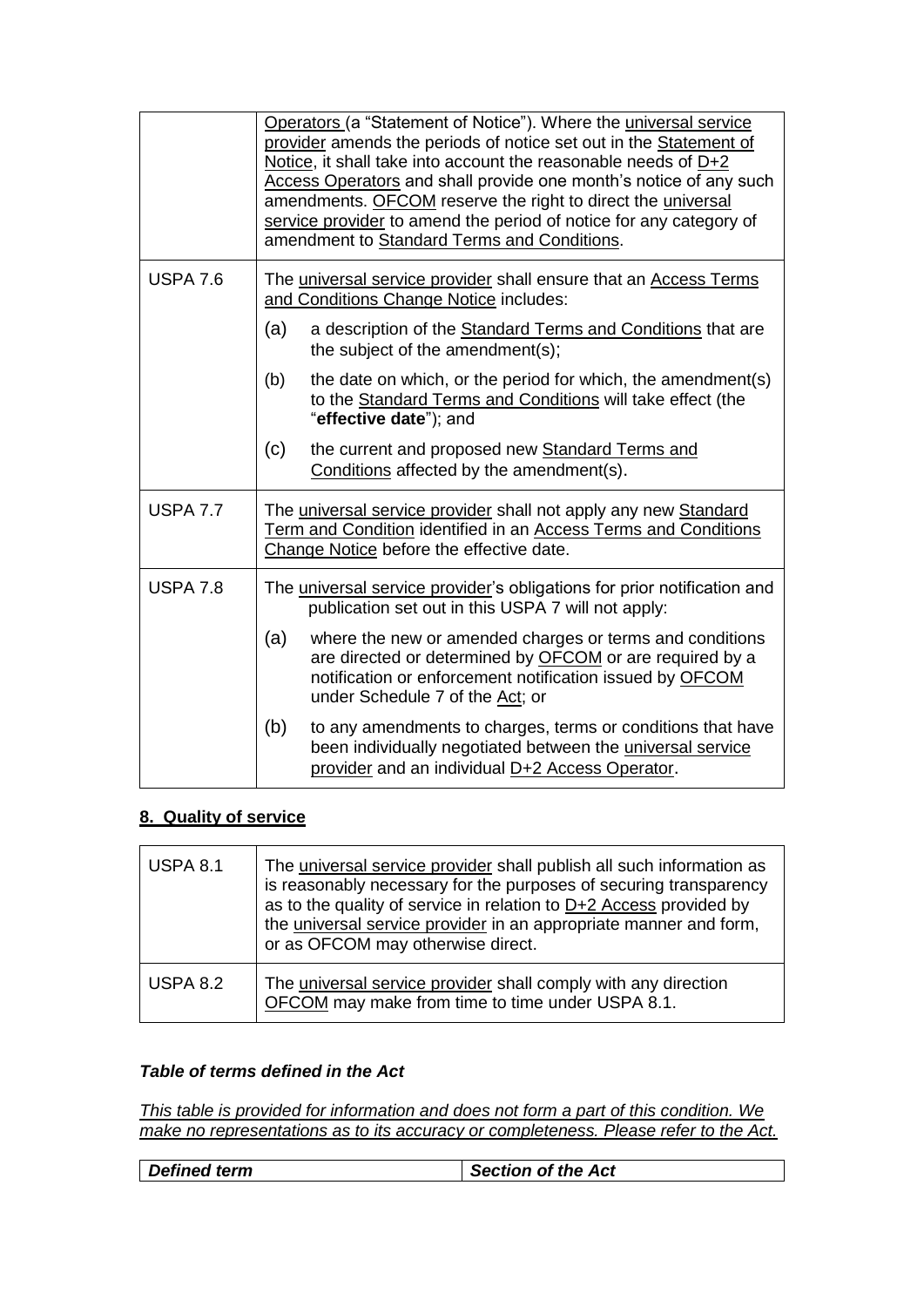|                 | Operators (a "Statement of Notice"). Where the universal service<br>provider amends the periods of notice set out in the Statement of<br>Notice, it shall take into account the reasonable needs of $D+2$<br>Access Operators and shall provide one month's notice of any such<br>amendments. OFCOM reserve the right to direct the universal<br>service provider to amend the period of notice for any category of<br>amendment to Standard Terms and Conditions. |  |
|-----------------|--------------------------------------------------------------------------------------------------------------------------------------------------------------------------------------------------------------------------------------------------------------------------------------------------------------------------------------------------------------------------------------------------------------------------------------------------------------------|--|
| <b>USPA 7.6</b> | The universal service provider shall ensure that an Access Terms<br>and Conditions Change Notice includes:                                                                                                                                                                                                                                                                                                                                                         |  |
|                 | (a)<br>a description of the <b>Standard Terms and Conditions</b> that are<br>the subject of the amendment(s);                                                                                                                                                                                                                                                                                                                                                      |  |
|                 | (b)<br>the date on which, or the period for which, the amendment(s)<br>to the Standard Terms and Conditions will take effect (the<br>"effective date"); and                                                                                                                                                                                                                                                                                                        |  |
|                 | (c)<br>the current and proposed new Standard Terms and<br>Conditions affected by the amendment(s).                                                                                                                                                                                                                                                                                                                                                                 |  |
| <b>USPA 7.7</b> | The universal service provider shall not apply any new Standard<br>Term and Condition identified in an Access Terms and Conditions<br>Change Notice before the effective date.                                                                                                                                                                                                                                                                                     |  |
| <b>USPA 7.8</b> | The universal service provider's obligations for prior notification and<br>publication set out in this USPA 7 will not apply:                                                                                                                                                                                                                                                                                                                                      |  |
|                 | (a)<br>where the new or amended charges or terms and conditions<br>are directed or determined by <b>OFCOM</b> or are required by a<br>notification or enforcement notification issued by OFCOM<br>under Schedule 7 of the Act; or                                                                                                                                                                                                                                  |  |
|                 | (b)<br>to any amendments to charges, terms or conditions that have<br>been individually negotiated between the universal service<br>provider and an individual D+2 Access Operator.                                                                                                                                                                                                                                                                                |  |

## **8. Quality of service**

| <b>USPA 8.1</b> | The universal service provider shall publish all such information as<br>is reasonably necessary for the purposes of securing transparency<br>as to the quality of service in relation to $D+2$ Access provided by<br>the universal service provider in an appropriate manner and form,<br>or as OFCOM may otherwise direct. |
|-----------------|-----------------------------------------------------------------------------------------------------------------------------------------------------------------------------------------------------------------------------------------------------------------------------------------------------------------------------|
| <b>USPA 8.2</b> | The universal service provider shall comply with any direction<br>OFCOM may make from time to time under USPA 8.1.                                                                                                                                                                                                          |

#### *Table of terms defined in the Act*

*This table is provided for information and does not form a part of this condition. We make no representations as to its accuracy or completeness. Please refer to the Act.*

| <b>Defined term</b><br><b>Section of the Act</b> |
|--------------------------------------------------|
|--------------------------------------------------|